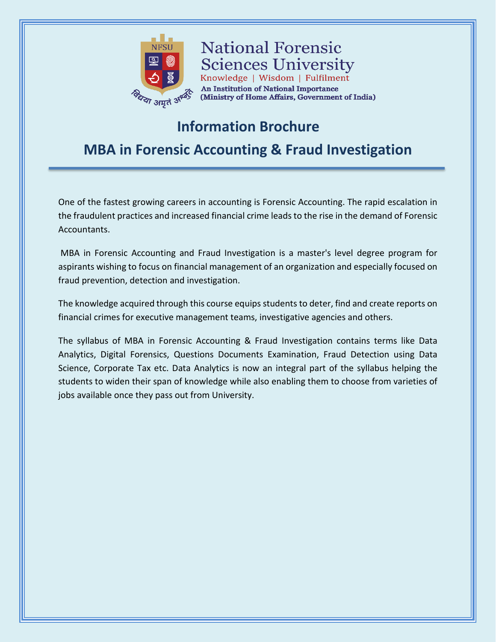

**National Forensic Sciences University** Knowledge | Wisdom | Fulfilment An Institution of National Importance (Ministry of Home Affairs, Government of India)

# **Information Brochure**

**MBA in Forensic Accounting & Fraud Investigation**

One of the fastest growing careers in accounting is Forensic Accounting. The rapid escalation in the fraudulent practices and increased financial crime leads to the rise in the demand of Forensic Accountants.

MBA in Forensic Accounting and Fraud Investigation is a master's level degree program for aspirants wishing to focus on financial management of an organization and especially focused on fraud prevention, detection and investigation.

The knowledge acquired through this course equips students to deter, find and create reports on financial crimes for executive management teams, investigative agencies and others.

The syllabus of MBA in Forensic Accounting & Fraud Investigation contains terms like Data Analytics, Digital Forensics, Questions Documents Examination, Fraud Detection using Data Science, Corporate Tax etc. Data Analytics is now an integral part of the syllabus helping the students to widen their span of knowledge while also enabling them to choose from varieties of jobs available once they pass out from University.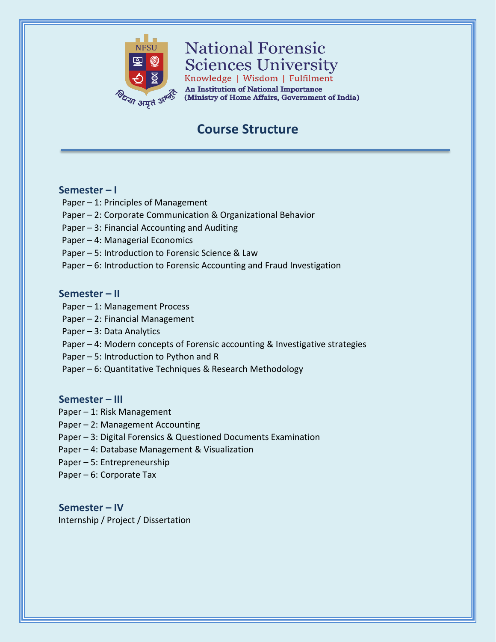

# **National Forensic Sciences University**

Knowledge | Wisdom | Fulfilment **An Institution of National Importance** (Ministry of Home Affairs, Government of India)

## **Course Structure**

## **Semester – I**

- Paper 1: Principles of Management
- Paper 2: Corporate Communication & Organizational Behavior
- Paper 3: Financial Accounting and Auditing
- Paper 4: Managerial Economics
- Paper 5: Introduction to Forensic Science & Law
- Paper 6: Introduction to Forensic Accounting and Fraud Investigation

### **Semester – II**

- Paper 1: Management Process
- Paper 2: Financial Management
- Paper 3: Data Analytics
- Paper 4: Modern concepts of Forensic accounting & Investigative strategies
- Paper 5: Introduction to Python and R
- Paper 6: Quantitative Techniques & Research Methodology

## **Semester – III**

- Paper 1: Risk Management
- Paper 2: Management Accounting
- Paper 3: Digital Forensics & Questioned Documents Examination
- Paper 4: Database Management & Visualization
- Paper 5: Entrepreneurship
- Paper 6: Corporate Tax

**Semester – IV** Internship / Project / Dissertation